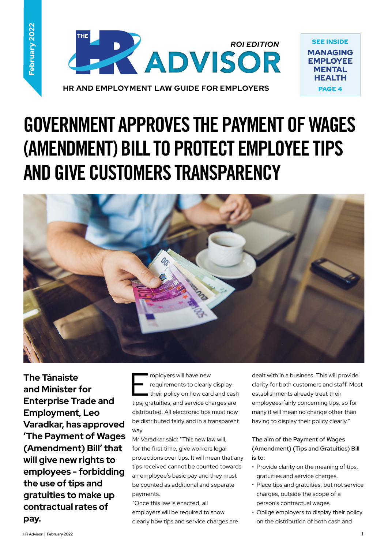

MANAGING EMPLOYEE **MENTAL HEALTH** PAGE 4

# **GOVERNMENT APPROVES THE PAYMENT OF WAGES (AMENDMENT) BILL TO PROTECT EMPLOYEE TIPS AND GIVE CUSTOMERS TRANSPARENCY**



**The Tánaiste and Minister for Enterprise Trade and Employment, Leo Varadkar, has approved 'The Payment of Wages (Amendment) Bill' that will give new rights to employees - forbidding the use of tips and gratuities to make up contractual rates of pay.** 

mployers will have new<br>requirements to clearly<br>their policy on how card requirements to clearly display their policy on how card and cash tips, gratuities, and service charges are distributed. All electronic tips must now be distributed fairly and in a transparent way.

Mr Varadkar said: "This new law will, for the first time, give workers legal protections over tips. It will mean that any tips received cannot be counted towards an employee's basic pay and they must be counted as additional and separate payments.

"Once this law is enacted, all employers will be required to show clearly how tips and service charges are dealt with in a business. This will provide clarity for both customers and staff. Most establishments already treat their employees fairly concerning tips, so for many it will mean no change other than having to display their policy clearly."

#### **The aim of the Payment of Wages (Amendment) (Tips and Gratuities) Bill is to:**

- Provide clarity on the meaning of tips, gratuities and service charges.
- Place tips and gratuities, but not service charges, outside the scope of a person's contractual wages.
- Oblige employers to display their policy on the distribution of both cash and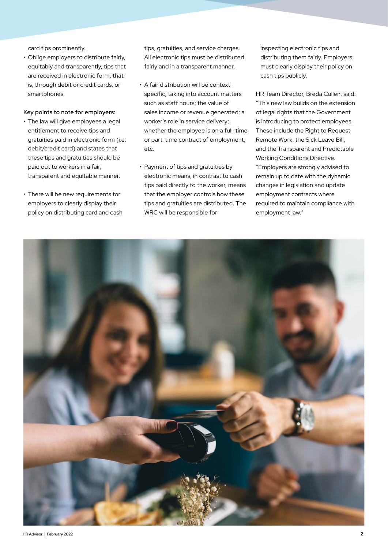card tips prominently.

• Oblige employers to distribute fairly, equitably and transparently, tips that are received in electronic form, that is, through debit or credit cards, or smartphones.

#### **Key points to note for employers:**

- The law will give employees a legal entitlement to receive tips and gratuities paid in electronic form (i.e. debit/credit card) and states that these tips and gratuities should be paid out to workers in a fair, transparent and equitable manner.
- There will be new requirements for employers to clearly display their policy on distributing card and cash

tips, gratuities, and service charges. All electronic tips must be distributed fairly and in a transparent manner.

- A fair distribution will be contextspecific, taking into account matters such as staff hours; the value of sales income or revenue generated; a worker's role in service delivery; whether the employee is on a full-time or part-time contract of employment, etc.
- Payment of tips and gratuities by electronic means, in contrast to cash tips paid directly to the worker, means that the employer controls how these tips and gratuities are distributed. The WRC will be responsible for

inspecting electronic tips and distributing them fairly. Employers must clearly display their policy on cash tips publicly.

HR Team Director, Breda Cullen, said: "This new law builds on the extension of legal rights that the Government is introducing to protect employees. These include the Right to Request Remote Work, the Sick Leave Bill, and the Transparent and Predictable Working Conditions Directive. "Employers are strongly advised to remain up to date with the dynamic changes in legislation and update employment contracts where required to maintain compliance with employment law."

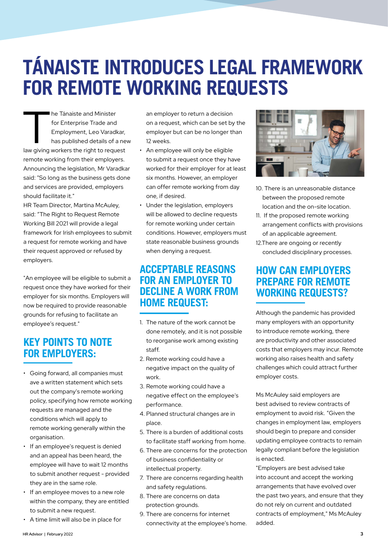# **TÁNAISTE INTRODUCES LEGAL FRAMEWORK FOR REMOTE WORKING REQUESTS**

I he Tánaiste and Minister<br>
for Enterprise Trade and<br>
Employment, Leo Varadkar,<br>
has published details of a ne<br>
law giving workers the right to request for Enterprise Trade and Employment, Leo Varadkar, has published details of a new remote working from their employers. Announcing the legislation, Mr Varadkar said: "So long as the business gets done and services are provided, employers should facilitate it."

HR Team Director, Martina McAuley, said: "The Right to Request Remote Working Bill 2021 will provide a legal framework for Irish employees to submit a request for remote working and have their request approved or refused by employers.

"An employee will be eligible to submit a request once they have worked for their employer for six months. Employers will now be required to provide reasonable grounds for refusing to facilitate an employee's request."

## **KEY POINTS TO NOTE FOR EMPLOYERS:**

- Going forward, all companies must ave a written statement which sets out the company's remote working policy, specifying how remote working requests are managed and the conditions which will apply to remote working generally within the organisation.
- If an employee's request is denied and an appeal has been heard, the employee will have to wait 12 months to submit another request - provided they are in the same role.
- If an employee moves to a new role within the company, they are entitled to submit a new request.
- A time limit will also be in place for

an employer to return a decision on a request, which can be set by the employer but can be no longer than 12 weeks.

- An employee will only be eligible to submit a request once they have worked for their employer for at least six months. However, an employer can offer remote working from day one, if desired.
- Under the legislation, employers will be allowed to decline requests for remote working under certain conditions. However, employers must state reasonable business grounds when denying a request.

### **ACCEPTABLE REASONS FOR AN EMPLOYER TO DECLINE A WORK FROM HOME REQUEST:**

- 1. The nature of the work cannot be done remotely, and it is not possible to reorganise work among existing staff.
- 2. Remote working could have a negative impact on the quality of work.
- 3. Remote working could have a negative effect on the employee's performance.
- 4. Planned structural changes are in place.
- 5. There is a burden of additional costs to facilitate staff working from home.
- 6. There are concerns for the protection of business confidentiality or intellectual property.
- 7. There are concerns regarding health and safety regulations.
- 8. There are concerns on data protection grounds.
- 9. There are concerns for internet connectivity at the employee's home.



- 10. There is an unreasonable distance between the proposed remote location and the on-site location.
- 11. If the proposed remote working arrangement conflicts with provisions of an applicable agreement.
- 12.There are ongoing or recently concluded disciplinary processes.

### **HOW CAN EMPLOYERS PREPARE FOR REMOTE WORKING REQUESTS?**

Although the pandemic has provided many employers with an opportunity to introduce remote working, there are productivity and other associated costs that employers may incur. Remote working also raises health and safety challenges which could attract further employer costs.

Ms McAuley said employers are best advised to review contracts of employment to avoid risk. "Given the changes in employment law, employers should begin to prepare and consider updating employee contracts to remain legally compliant before the legislation is enacted.

"Employers are best advised take into account and accept the working arrangements that have evolved over the past two years, and ensure that they do not rely on current and outdated contracts of employment," Ms McAuley added.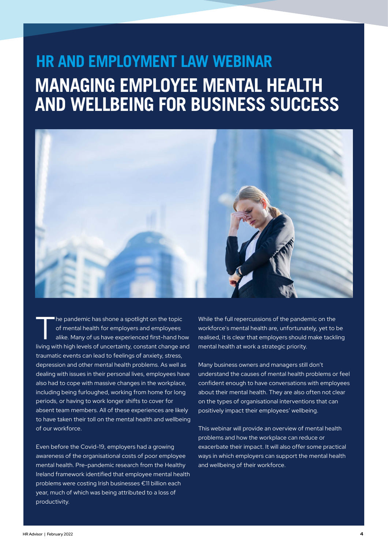# **HR AND EMPLOYMENT LAW WEBINAR MANAGING EMPLOYEE MENTAL HEALTH AND WELLBEING FOR BUSINESS SUCCESS**



The pandemic has shone a spotlight on the topic<br>of mental health for employers and employees<br>alike. Many of us have experienced first-hand ho of mental health for employers and employees alike. Many of us have experienced first-hand how living with high levels of uncertainty, constant change and traumatic events can lead to feelings of anxiety, stress, depression and other mental health problems. As well as dealing with issues in their personal lives, employees have also had to cope with massive changes in the workplace, including being furloughed, working from home for long periods, or having to work longer shifts to cover for absent team members. All of these experiences are likely to have taken their toll on the mental health and wellbeing of our workforce.

Even before the Covid-19, employers had a growing awareness of the organisational costs of poor employee mental health. Pre-pandemic research from the Healthy Ireland framework identified that employee mental health problems were costing Irish businesses €11 billion each year, much of which was being attributed to a loss of productivity.

While the full repercussions of the pandemic on the workforce's mental health are, unfortunately, yet to be realised, it is clear that employers should make tackling mental health at work a strategic priority.

Many business owners and managers still don't understand the causes of mental health problems or feel confident enough to have conversations with employees about their mental health. They are also often not clear on the types of organisational interventions that can positively impact their employees' wellbeing.

This webinar will provide an overview of mental health problems and how the workplace can reduce or exacerbate their impact. It will also offer some practical ways in which employers can support the mental health and wellbeing of their workforce.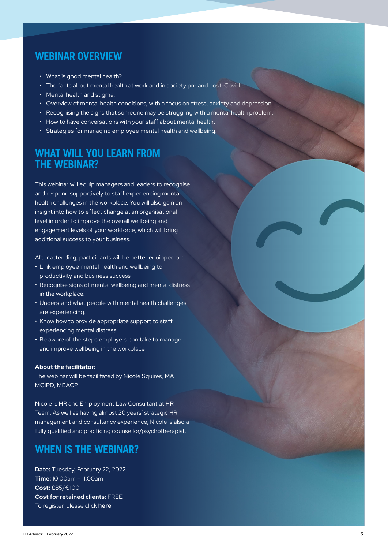#### **WEBINAR OVERVIEW**

- What is good mental health?
- The facts about mental health at work and in society pre and post-Covid.
- Mental health and stigma.
- Overview of mental health conditions, with a focus on stress, anxiety and depression.
- Recognising the signs that someone may be struggling with a mental health problem.
- How to have conversations with your staff about mental health.
- Strategies for managing employee mental health and wellbeing.

### **WHAT WILL YOU LEARN FROM THE WEBINAR?**

This webinar will equip managers and leaders to recognise and respond supportively to staff experiencing mental health challenges in the workplace. You will also gain an insight into how to effect change at an organisational level in order to improve the overall wellbeing and engagement levels of your workforce, which will bring additional success to your business.

After attending, participants will be better equipped to:

- Link employee mental health and wellbeing to productivity and business success
- Recognise signs of mental wellbeing and mental distress in the workplace.
- Understand what people with mental health challenges are experiencing.
- Know how to provide appropriate support to staff experiencing mental distress.
- Be aware of the steps employers can take to manage and improve wellbeing in the workplace

#### **About the facilitator:**

The webinar will be facilitated by Nicole Squires, MA MCIPD, MBACP.

Nicole is HR and Employment Law Consultant at HR Team. As well as having almost 20 years' strategic HR management and consultancy experience, Nicole is also a fully qualified and practicing counsellor/psychotherapist.

#### **WHEN IS THE WEBINAR?**

**Date:** Tuesday, February 22, 2022 **Time:** 10.00am – 11.00am **Cost:** £85/€100 **Cost for retained clients:** FREE To register, please click **[here](https://hrteamservices.com/training/hr-training-webinars-2/mental-health-and-wellbeing-of-employees/)**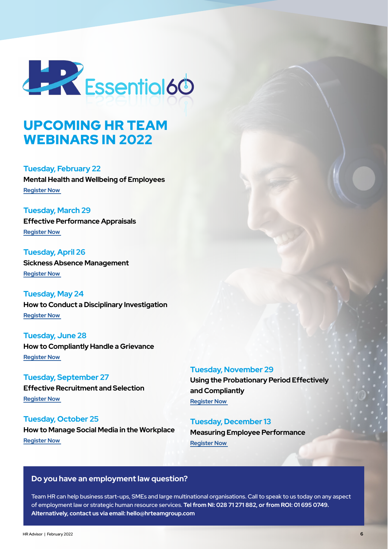

## UPCOMING HR TEAM WEBINARS IN 2022

**Tuesday, February 22 Mental Health and Wellbeing of Employees Register Now** 

**Tuesday, March 29 Effective Performance Appraisals Register Now** 

**Tuesday, April 26 Sickness Absence Management Register Now** 

**Tuesday, May 24 How to Conduct a Disciplinary Investigation Register Now** 

**Tuesday, June 28 How to Compliantly Handle a Grievance Register Now** 

**Tuesday, September 27 Effective Recruitment and Selection Register Now** 

**Tuesday, October 25 How to Manage Social Media in the Workplace Register Now** 

**Tuesday, November 29**

**Using the Probationary Period Effectively and Compliantly Register Now** 

**Tuesday, December 13 Measuring Employee Performance Register Now** 

#### **Do you have an employment law question?**

Team HR can help business start-ups, SMEs and large multinational organisations. Call to speak to us today on any aspect of employment law or strategic human resource services. **Tel from NI: 028 71 271 882, or from ROI: 01 695 0749. Alternatively, contact us via email: hello@hrteamgroup.com**